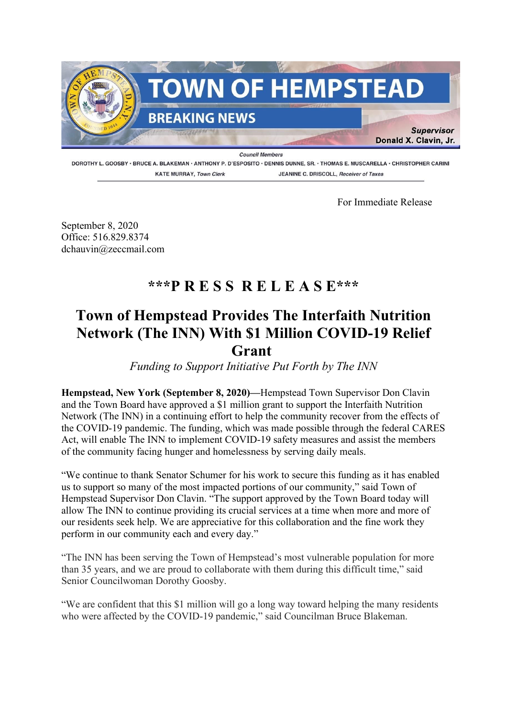

DOROTHY L. GOOSBY · BRUCE A. BLAKEMAN · ANTHONY P. D'ESPOSITO · DENNIS DUNNE, SR. · THOMAS E. MUSCARELLA · CHRISTOPHER CARINI **KATE MURRAY, Town Clerk** JEANINE C. DRISCOLL. Receiver of Taxes

For Immediate Release

September 8, 2020 Office: 516.829.8374 dchauvin@zeccmail.com

## **\*\*\*P R E S S R E L E A S E\*\*\***

## **Town of Hempstead Provides The Interfaith Nutrition Network (The INN) With \$1 Million COVID-19 Relief Grant**

*Funding to Support Initiative Put Forth by The INN*

**Hempstead, New York (September 8, 2020)—**Hempstead Town Supervisor Don Clavin and the Town Board have approved a \$1 million grant to support the Interfaith Nutrition Network (The INN) in a continuing effort to help the community recover from the effects of the COVID-19 pandemic. The funding, which was made possible through the federal CARES Act, will enable The INN to implement COVID-19 safety measures and assist the members of the community facing hunger and homelessness by serving daily meals.

"We continue to thank Senator Schumer for his work to secure this funding as it has enabled us to support so many of the most impacted portions of our community," said Town of Hempstead Supervisor Don Clavin. "The support approved by the Town Board today will allow The INN to continue providing its crucial services at a time when more and more of our residents seek help. We are appreciative for this collaboration and the fine work they perform in our community each and every day."

"The INN has been serving the Town of Hempstead's most vulnerable population for more than 35 years, and we are proud to collaborate with them during this difficult time," said Senior Councilwoman Dorothy Goosby.

"We are confident that this \$1 million will go a long way toward helping the many residents who were affected by the COVID-19 pandemic," said Councilman Bruce Blakeman.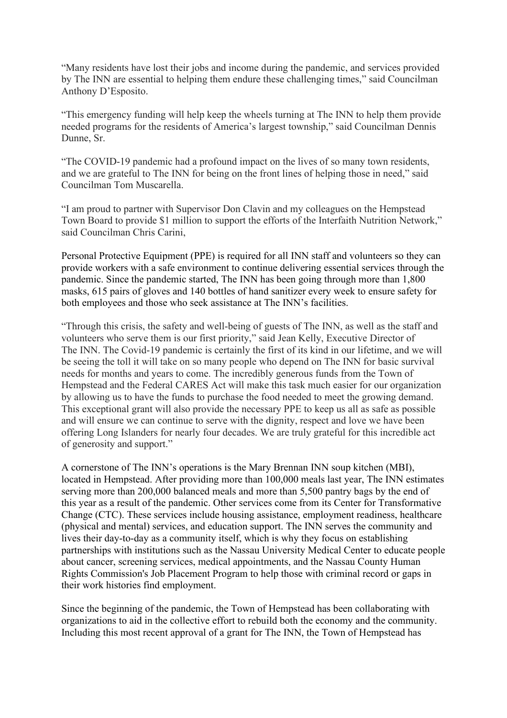"Many residents have lost their jobs and income during the pandemic, and services provided by The INN are essential to helping them endure these challenging times," said Councilman Anthony D'Esposito.

"This emergency funding will help keep the wheels turning at The INN to help them provide needed programs for the residents of America's largest township," said Councilman Dennis Dunne, Sr.

"The COVID-19 pandemic had a profound impact on the lives of so many town residents, and we are grateful to The INN for being on the front lines of helping those in need," said Councilman Tom Muscarella.

"I am proud to partner with Supervisor Don Clavin and my colleagues on the Hempstead Town Board to provide \$1 million to support the efforts of the Interfaith Nutrition Network," said Councilman Chris Carini,

Personal Protective Equipment (PPE) is required for all INN staff and volunteers so they can provide workers with a safe environment to continue delivering essential services through the pandemic. Since the pandemic started, The INN has been going through more than 1,800 masks, 615 pairs of gloves and 140 bottles of hand sanitizer every week to ensure safety for both employees and those who seek assistance at The INN's facilities.

"Through this crisis, the safety and well-being of guests of The INN, as well as the staff and volunteers who serve them is our first priority," said Jean Kelly, Executive Director of The INN. The Covid-19 pandemic is certainly the first of its kind in our lifetime, and we will be seeing the toll it will take on so many people who depend on The INN for basic survival needs for months and years to come. The incredibly generous funds from the Town of Hempstead and the Federal CARES Act will make this task much easier for our organization by allowing us to have the funds to purchase the food needed to meet the growing demand. This exceptional grant will also provide the necessary PPE to keep us all as safe as possible and will ensure we can continue to serve with the dignity, respect and love we have been offering Long Islanders for nearly four decades. We are truly grateful for this incredible act of generosity and support."

A cornerstone of The INN's operations is the Mary Brennan INN soup kitchen (MBI), located in Hempstead. After providing more than 100,000 meals last year, The INN estimates serving more than 200,000 balanced meals and more than 5,500 pantry bags by the end of this year as a result of the pandemic. Other services come from its Center for Transformative Change (CTC). These services include housing assistance, employment readiness, healthcare (physical and mental) services, and education support. The INN serves the community and lives their day-to-day as a community itself, which is why they focus on establishing partnerships with institutions such as the Nassau University Medical Center to educate people about cancer, screening services, medical appointments, and the Nassau County Human Rights Commission's Job Placement Program to help those with criminal record or gaps in their work histories find employment.

Since the beginning of the pandemic, the Town of Hempstead has been collaborating with organizations to aid in the collective effort to rebuild both the economy and the community. Including this most recent approval of a grant for The INN, the Town of Hempstead has